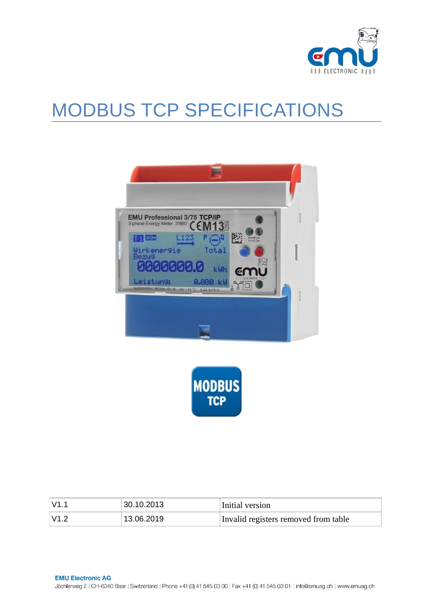

# MODBUS TCP SPECIFICATIONS





| $\mathsf{V}1.1$ | 30.10.2013 | Initial version                      |
|-----------------|------------|--------------------------------------|
| $\mathsf{V}1.2$ | 13.06.2019 | Invalid registers removed from table |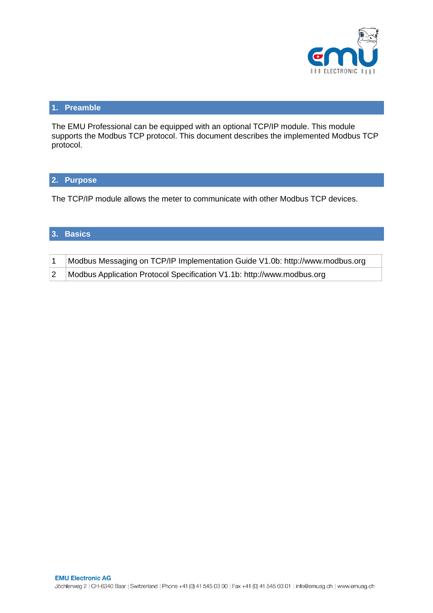

# **1. Preamble**

The EMU Professional can be equipped with an optional TCP/IP module. This module supports the Modbus TCP protocol. This document describes the implemented Modbus TCP protocol.

## **2. Purpose**

The TCP/IP module allows the meter to communicate with other Modbus TCP devices.

## **3. Basics**

| Modbus Messaging on TCP/IP Implementation Guide V1.0b: http://www.modbus.org |
|------------------------------------------------------------------------------|
| Modbus Application Protocol Specification V1.1b: http://www.modbus.org       |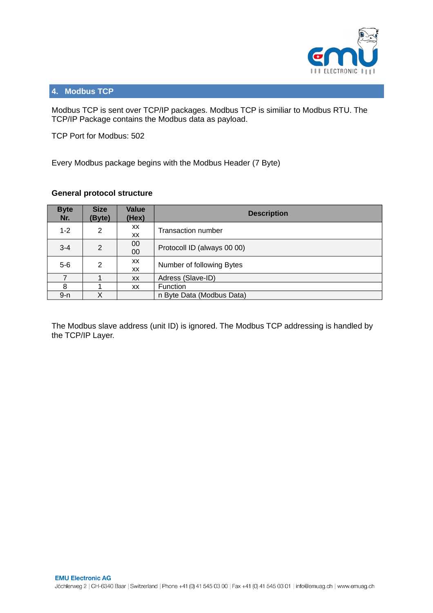

# **4. Modbus TCP**

Modbus TCP is sent over TCP/IP packages. Modbus TCP is similiar to Modbus RTU. The TCP/IP Package contains the Modbus data as payload.

TCP Port for Modbus: 502

Every Modbus package begins with the Modbus Header (7 Byte)

## **General protocol structure**

| <b>Byte</b><br>Nr. | <b>Size</b><br>(Byte) | Value<br>(Hex) | <b>Description</b>          |  |
|--------------------|-----------------------|----------------|-----------------------------|--|
| $1 - 2$            | 2                     | XX<br>XX       | <b>Transaction number</b>   |  |
| $3 - 4$            | 2                     | 00<br>00       | Protocoll ID (always 00 00) |  |
| $5-6$              | 2                     | XX<br>XX       | Number of following Bytes   |  |
|                    |                       | <b>XX</b>      | Adress (Slave-ID)           |  |
| 8                  |                       | <b>XX</b>      | <b>Function</b>             |  |
| $9 - n$            |                       |                | n Byte Data (Modbus Data)   |  |

The Modbus slave address (unit ID) is ignored. The Modbus TCP addressing is handled by the TCP/IP Layer.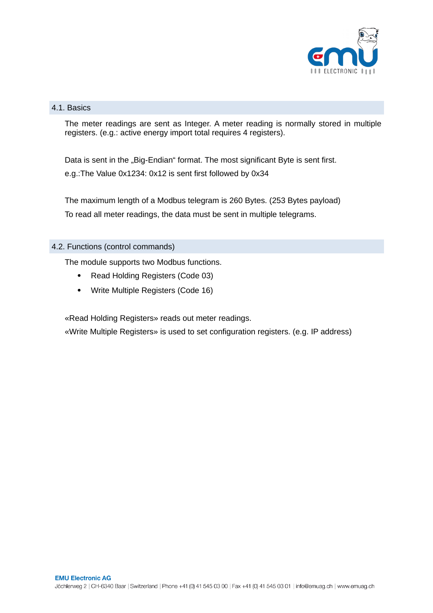

# 4.1. Basics

The meter readings are sent as Integer. A meter reading is normally stored in multiple registers. (e.g.: active energy import total requires 4 registers).

Data is sent in the "Big-Endian" format. The most significant Byte is sent first. e.g.:The Value 0x1234: 0x12 is sent first followed by 0x34

The maximum length of a Modbus telegram is 260 Bytes. (253 Bytes payload) To read all meter readings, the data must be sent in multiple telegrams.

## 4.2. Functions (control commands)

The module supports two Modbus functions.

- Read Holding Registers (Code 03)
- Write Multiple Registers (Code 16)

«Read Holding Registers» reads out meter readings.

«Write Multiple Registers» is used to set configuration registers. (e.g. IP address)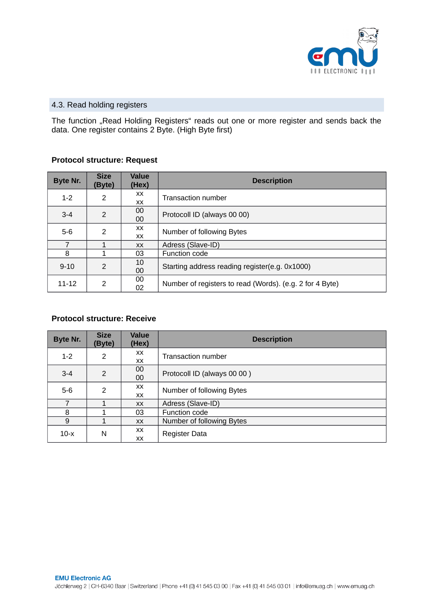

## 4.3. Read holding registers

The function "Read Holding Registers" reads out one or more register and sends back the data. One register contains 2 Byte. (High Byte first)

# **Protocol structure: Request**

| Byte Nr.  | <b>Size</b><br>(Byte) | <b>Value</b><br>(Hex) | <b>Description</b>                                       |  |
|-----------|-----------------------|-----------------------|----------------------------------------------------------|--|
| $1 - 2$   | 2                     | XX.<br>XX             | <b>Transaction number</b>                                |  |
| $3 - 4$   | $\overline{2}$        | 00<br>00              | Protocoll ID (always 00 00)                              |  |
| $5-6$     | $\mathcal{P}$         | XX<br>XX              | Number of following Bytes                                |  |
| 7         |                       | <b>XX</b>             | Adress (Slave-ID)                                        |  |
| 8         |                       | 03                    | Function code                                            |  |
| $9 - 10$  | $\mathcal{P}$         | 10<br>00              | Starting address reading register(e.g. 0x1000)           |  |
| $11 - 12$ | 2                     | 00<br>02              | Number of registers to read (Words). (e.g. 2 for 4 Byte) |  |

## **Protocol structure: Receive**

| Byte Nr.       | <b>Size</b><br>(Byte)   | Value<br>(Hex)   | <b>Description</b>          |  |
|----------------|-------------------------|------------------|-----------------------------|--|
| $1 - 2$        | $\overline{2}$          | XX.<br><b>XX</b> | <b>Transaction number</b>   |  |
| $3 - 4$        | $\overline{2}$          | 00<br>00         | Protocoll ID (always 00 00) |  |
| $5-6$          | $\overline{\mathbf{c}}$ | XX.<br><b>XX</b> | Number of following Bytes   |  |
| $\overline{7}$ | 1                       | <b>XX</b>        | Adress (Slave-ID)           |  |
| 8              | 1                       | 03               | Function code               |  |
| 9              |                         | <b>XX</b>        | Number of following Bytes   |  |
| $10-x$         | N                       | <b>XX</b><br>XX  | Register Data               |  |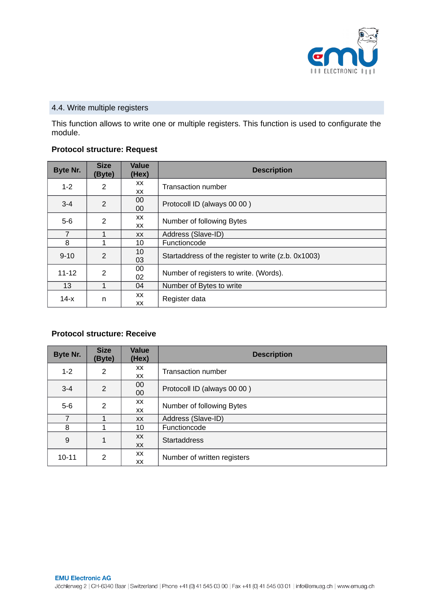

# 4.4. Write multiple registers

This function allows to write one or multiple registers. This function is used to configurate the module.

#### **Protocol structure: Request**

| Byte Nr.  | <b>Size</b><br>(Byte) | <b>Value</b><br>(Hex) | <b>Description</b>                                  |
|-----------|-----------------------|-----------------------|-----------------------------------------------------|
| $1 - 2$   | 2                     | XX.<br><b>XX</b>      | <b>Transaction number</b>                           |
| $3 - 4$   | 2                     | 00<br>00              | Protocoll ID (always 00 00)                         |
| $5-6$     | 2                     | XX<br>XX.             | Number of following Bytes                           |
| 7         | 1                     | XX.                   | Address (Slave-ID)                                  |
| 8         |                       | 10                    | <b>Functioncode</b>                                 |
| $9 - 10$  | $\overline{2}$        | 10<br>03              | Startaddress of the register to write (z.b. 0x1003) |
| $11 - 12$ | 2                     | 00<br>02              | Number of registers to write. (Words).              |
| 13        | 1                     | 04                    | Number of Bytes to write                            |
| $14-x$    | n                     | XX.<br>XX             | Register data                                       |

## **Protocol structure: Receive**

| Byte Nr.  | <b>Size</b><br>(Byte) | <b>Value</b><br>(Hex) | <b>Description</b>          |  |
|-----------|-----------------------|-----------------------|-----------------------------|--|
| $1 - 2$   | 2                     | XX                    | <b>Transaction number</b>   |  |
|           |                       | XX                    |                             |  |
|           |                       | 00                    |                             |  |
| $3 - 4$   | 2                     | 00                    | Protocoll ID (always 00 00) |  |
| $5-6$     | 2                     | XX                    | Number of following Bytes   |  |
|           |                       | XX                    |                             |  |
| 7         |                       | <b>XX</b>             | Address (Slave-ID)          |  |
| 8         |                       | 10                    | Functioncode                |  |
|           | 1                     | XX                    | <b>Startaddress</b>         |  |
| 9         |                       | <b>XX</b>             |                             |  |
| $10 - 11$ | 2                     | XX                    | Number of written registers |  |
|           |                       | <b>XX</b>             |                             |  |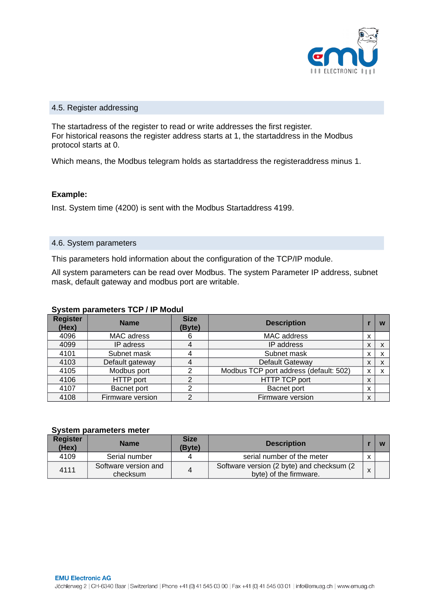

#### 4.5. Register addressing

The startadress of the register to read or write addresses the first register. For historical reasons the register address starts at 1, the startaddress in the Modbus protocol starts at 0.

Which means, the Modbus telegram holds as startaddress the registeraddress minus 1.

#### **Example:**

Inst. System time (4200) is sent with the Modbus Startaddress 4199.

#### 4.6. System parameters

This parameters hold information about the configuration of the TCP/IP module.

All system parameters can be read over Modbus. The system Parameter IP address, subnet mask, default gateway and modbus port are writable.

#### **System parameters TCP / IP Modul**

| <b>Register</b><br>(Hex) | <b>Name</b>      | <b>Size</b><br>(Byte) | <b>Description</b>                     |   | w |
|--------------------------|------------------|-----------------------|----------------------------------------|---|---|
| 4096                     | MAC adress       | MAC address<br>6      |                                        | X |   |
| 4099                     | IP adress        | 4                     | IP address                             |   |   |
| 4101                     | Subnet mask      |                       | Subnet mask                            |   |   |
| 4103                     | Default gateway  |                       | Default Gateway                        |   |   |
| 4105                     | Modbus port      | ົ                     | Modbus TCP port address (default: 502) |   |   |
| 4106                     | HTTP port        | າ                     | <b>HTTP TCP port</b>                   |   |   |
| 4107                     | Bacnet port      | ⌒                     | <b>Bacnet port</b>                     | X |   |
| 4108                     | Firmware version | ົ                     | Firmware version                       |   |   |

#### **System parameters meter**

| Register<br>(Hex) | <b>Name</b>                      | <b>Size</b><br>(Byte) | <b>Description</b>                                                  |              |  |
|-------------------|----------------------------------|-----------------------|---------------------------------------------------------------------|--------------|--|
| 4109              | Serial number                    |                       | serial number of the meter                                          |              |  |
| 4111              | Software version and<br>checksum |                       | Software version (2 byte) and checksum (2<br>byte) of the firmware. | $\mathbf{v}$ |  |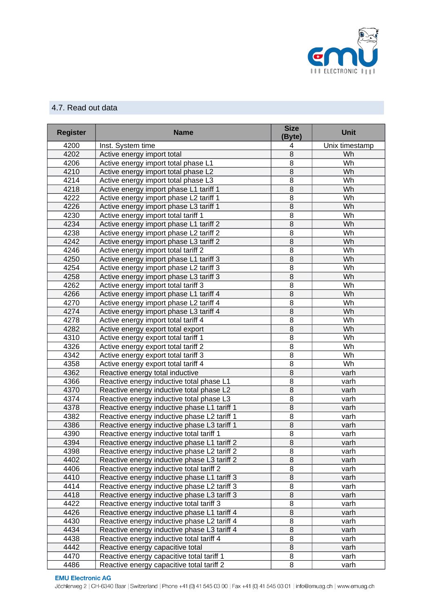

# 4.7. Read out data

| <b>Register</b> | <b>Name</b>                                 | <b>Size</b><br>(Byte) | <b>Unit</b>    |
|-----------------|---------------------------------------------|-----------------------|----------------|
| 4200            | Inst. System time                           | 4                     | Unix timestamp |
| 4202            | Active energy import total                  | 8                     | Wh             |
| 4206            | Active energy import total phase L1         | 8                     | Wh             |
| 4210            | Active energy import total phase L2         | $\overline{8}$        | Wh             |
| 4214            | Active energy import total phase L3         | $\overline{8}$        | Wh             |
| 4218            | Active energy import phase L1 tariff 1      | $\overline{8}$        | Wh             |
| 4222            | Active energy import phase L2 tariff 1      | 8                     | Wh             |
| 4226            | Active energy import phase L3 tariff 1      | $\overline{8}$        | Wh             |
| 4230            | Active energy import total tariff 1         | 8                     | Wh             |
| 4234            | Active energy import phase L1 tariff 2      | $\overline{8}$        | Wh             |
| 4238            | Active energy import phase L2 tariff 2      | $\overline{8}$        | Wh             |
| 4242            | Active energy import phase L3 tariff 2      | $\overline{8}$        | Wh             |
| 4246            | Active energy import total tariff 2         | 8                     | Wh             |
| 4250            | Active energy import phase L1 tariff 3      | $\overline{8}$        | Wh             |
| 4254            | Active energy import phase L2 tariff 3      | 8                     | Wh             |
| 4258            | Active energy import phase L3 tariff 3      | $\overline{8}$        | Wh             |
| 4262            | Active energy import total tariff 3         | $\overline{8}$        | Wh             |
| 4266            | Active energy import phase L1 tariff 4      | $\overline{8}$        | Wh             |
| 4270            | Active energy import phase L2 tariff 4      | 8                     | Wh             |
| 4274            | Active energy import phase L3 tariff 4      | $\overline{8}$        | Wh             |
| 4278            | Active energy import total tariff 4         | 8                     | Wh             |
| 4282            | Active energy export total export           | $\overline{8}$        | Wh             |
| 4310            | Active energy export total tariff 1         | $\overline{8}$        | Wh             |
| 4326            | Active energy export total tariff 2         | $\overline{8}$        | Wh             |
| 4342            | Active energy export total tariff 3         | 8                     | Wh             |
| 4358            | Active energy export total tariff 4         | 8                     | Wh             |
| 4362            | Reactive energy total inductive             | $\overline{8}$        | varh           |
| 4366            | Reactive energy inductive total phase L1    | 8                     | varh           |
| 4370            | Reactive energy inductive total phase L2    | $\overline{8}$        | varh           |
| 4374            | Reactive energy inductive total phase L3    | 8                     | varh           |
| 4378            | Reactive energy inductive phase L1 tariff 1 | $\overline{8}$        | varh           |
| 4382            | Reactive energy inductive phase L2 tariff 1 | 8                     | varh           |
| 4386            | Reactive energy inductive phase L3 tariff 1 | $\overline{8}$        | varh           |
| 4390            | Reactive energy inductive total tariff 1    | 8                     | varh           |
| 4394            | Reactive energy inductive phase L1 tariff 2 | $\overline{8}$        | varh           |
| 4398            | Reactive energy inductive phase L2 tariff 2 | 8                     | varh           |
| 4402            | Reactive energy inductive phase L3 tariff 2 | 8                     | varh           |
| 4406            | Reactive energy inductive total tariff 2    | 8                     | varh           |
| 4410            | Reactive energy inductive phase L1 tariff 3 | $\overline{8}$        | varh           |
| 4414            | Reactive energy inductive phase L2 tariff 3 | 8                     | varh           |
| 4418            | Reactive energy inductive phase L3 tariff 3 | $\, 8$                | varh           |
| 4422            | Reactive energy inductive total tariff 3    | 8                     | varh           |
| 4426            | Reactive energy inductive phase L1 tariff 4 | $\, 8$                | varh           |
| 4430            | Reactive energy inductive phase L2 tariff 4 | 8                     | varh           |
| 4434            | Reactive energy inductive phase L3 tariff 4 | $\, 8$                | varh           |
| 4438            | Reactive energy inductive total tariff 4    | 8                     | varh           |
| 4442            | Reactive energy capacitive total            | 8                     | varh           |
| 4470            | Reactive energy capacitive total tariff 1   | 8                     | varh           |
| 4486            | Reactive energy capacitive total tariff 2   | 8                     | varh           |

**EMU Electronic AG** Jöchlerweg 2 | CH-6340 Baar | Switzerland | Phone +41 (0) 41 545 03 00 | Fax +41 (0) 41 545 03 01 | info@emuag.ch | www.emuag.ch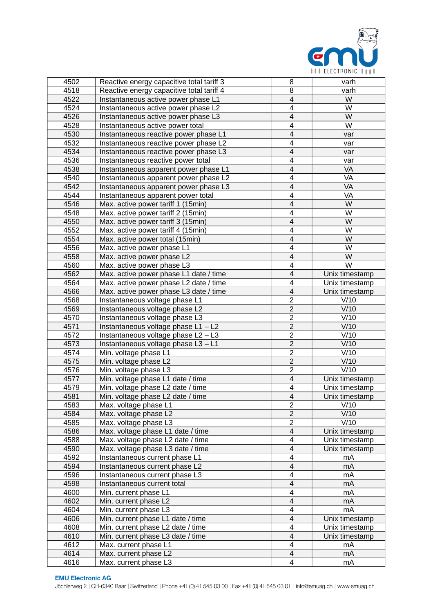

| 4502 | Reactive energy capacitive total tariff 3 | 8                        | varh              |
|------|-------------------------------------------|--------------------------|-------------------|
| 4518 | Reactive energy capacitive total tariff 4 | 8                        | varh              |
| 4522 | Instantaneous active power phase L1       | $\overline{4}$           | W                 |
| 4524 | Instantaneous active power phase L2       | $\overline{\mathcal{L}}$ | W                 |
| 4526 | Instantaneous active power phase L3       | $\overline{4}$           | W                 |
| 4528 | Instantaneous active power total          | $\overline{\mathcal{L}}$ | W                 |
| 4530 | Instantaneous reactive power phase L1     | $\overline{4}$           | var               |
| 4532 | Instantaneous reactive power phase L2     | $\overline{\mathcal{L}}$ | var               |
| 4534 | Instantaneous reactive power phase L3     | $\overline{4}$           | var               |
| 4536 | Instantaneous reactive power total        | $\overline{\mathcal{L}}$ | var               |
| 4538 | Instantaneous apparent power phase L1     | $\overline{4}$           | VA                |
| 4540 | Instantaneous apparent power phase L2     | $\overline{\mathcal{L}}$ | VA                |
| 4542 | Instantaneous apparent power phase L3     | $\overline{4}$           | VA                |
| 4544 | Instantaneous apparent power total        | $\overline{4}$           | VA                |
| 4546 | Max. active power tariff 1 (15min)        | $\overline{4}$           | W                 |
| 4548 | Max. active power tariff 2 (15min)        | $\overline{4}$           | W                 |
| 4550 | Max. active power tariff 3 (15min)        | $\overline{4}$           | W                 |
| 4552 | Max. active power tariff 4 (15min)        | $\overline{\mathcal{L}}$ | W                 |
| 4554 | Max. active power total (15min)           | $\overline{4}$           | W                 |
| 4556 | Max. active power phase L1                | $\overline{4}$           | W                 |
| 4558 | Max. active power phase L2                | $\overline{4}$           | W                 |
| 4560 | Max. active power phase L3                | $\overline{4}$           | W                 |
| 4562 | Max. active power phase L1 date / time    | $\overline{4}$           | Unix timestamp    |
| 4564 | Max. active power phase L2 date / time    | $\overline{4}$           | Unix timestamp    |
| 4566 | Max. active power phase L3 date / time    | $\overline{4}$           | Unix timestamp    |
| 4568 | Instantaneous voltage phase L1            | $\overline{2}$           | V/10              |
| 4569 | Instantaneous voltage phase L2            | $\overline{2}$           | $\overline{V/10}$ |
| 4570 | Instantaneous voltage phase L3            | $\overline{2}$           | V/10              |
| 4571 | Instantaneous voltage phase L1 - L2       | $\overline{2}$           | V/10              |
| 4572 | Instantaneous voltage phase L2 - L3       | $\overline{2}$           | V/10              |
| 4573 | Instantaneous voltage phase L3 - L1       | $\overline{2}$           | V/10              |
| 4574 | Min. voltage phase L1                     | $\overline{2}$           | V/10              |
| 4575 | Min. voltage phase L2                     | $\overline{2}$           | V/10              |
| 4576 | Min. voltage phase L3                     | $\overline{2}$           | V/10              |
| 4577 | Min. voltage phase L1 date / time         | $\overline{4}$           | Unix timestamp    |
| 4579 | Min. voltage phase L2 date / time         | $\overline{4}$           | Unix timestamp    |
| 4581 | Min. voltage phase L2 date / time         | $\overline{\mathcal{L}}$ | Unix timestamp    |
| 4583 | Max. voltage phase L1                     | $\overline{2}$           | V/10              |
| 4584 | Max. voltage phase L2                     | $\overline{2}$           | V/10              |
| 4585 | Max. voltage phase L3                     | $\overline{2}$           | V/10              |
| 4586 | Max. voltage phase L1 date / time         | $\overline{\mathcal{L}}$ | Unix timestamp    |
| 4588 | Max. voltage phase L2 date / time         | 4                        | Unix timestamp    |
| 4590 | Max. voltage phase L3 date / time         | $\overline{\mathcal{L}}$ | Unix timestamp    |
| 4592 | Instantaneous current phase L1            | 4                        | mA                |
| 4594 | Instantaneous current phase L2            | $\overline{\mathcal{L}}$ | mA                |
| 4596 | Instantaneous current phase L3            | 4                        | mA                |
| 4598 | Instantaneous current total               | $\overline{\mathcal{L}}$ | mA                |
| 4600 | Min. current phase L1                     | 4                        | mA                |
| 4602 | Min. current phase L2                     | $\overline{\mathcal{L}}$ | mA                |
| 4604 | Min. current phase L3                     | 4                        | <b>mA</b>         |
| 4606 | Min. current phase L1 date / time         | $\overline{\mathcal{L}}$ | Unix timestamp    |
| 4608 | Min. current phase L2 date / time         | 4                        | Unix timestamp    |
| 4610 | Min. current phase L3 date / time         | $\overline{\mathcal{L}}$ | Unix timestamp    |
| 4612 | Max. current phase L1                     | 4                        | mA                |
| 4614 | Max. current phase L2                     | $\overline{\mathcal{L}}$ | mA                |
| 4616 | Max. current phase L3                     | 4                        | mA                |

#### **EMU Electronic AG**

Jöchlerweg 2 | CH-6340 Baar | Switzerland | Phone +41 (0) 41 545 03 00 | Fax +41 (0) 41 545 03 01 | info@emuag.ch | www.emuag.ch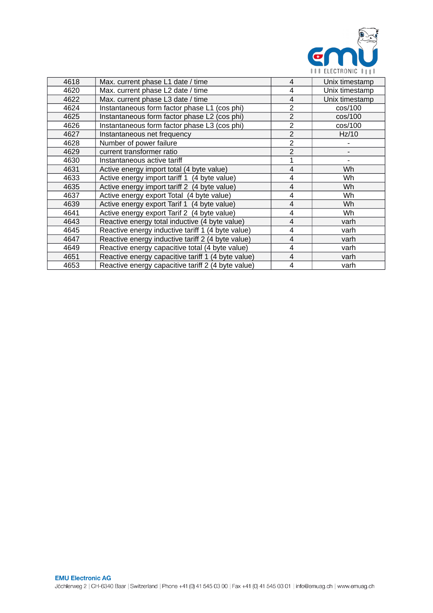

| 4618 | Max. current phase L1 date / time                  | 4                        | Unix timestamp |
|------|----------------------------------------------------|--------------------------|----------------|
| 4620 | Max. current phase L2 date / time                  | 4                        | Unix timestamp |
| 4622 | Max. current phase L3 date / time                  | 4                        | Unix timestamp |
| 4624 | Instantaneous form factor phase L1 (cos phi)       | 2                        | cos/100        |
| 4625 | Instantaneous form factor phase L2 (cos phi)       | $\overline{2}$           | cos/100        |
| 4626 | Instantaneous form factor phase L3 (cos phi)       | $\overline{2}$           | cos/100        |
| 4627 | Instantaneous net frequency                        | $\overline{2}$           | Hz/10          |
| 4628 | Number of power failure                            | $\overline{2}$           |                |
| 4629 | current transformer ratio                          | $\overline{2}$           |                |
| 4630 | Instantaneous active tariff                        | $\mathbf{1}$             |                |
| 4631 | Active energy import total (4 byte value)          | $\overline{4}$           | Wh             |
| 4633 | Active energy import tariff 1 (4 byte value)       | 4                        | Wh             |
| 4635 | Active energy import tariff 2 (4 byte value)       | $\overline{4}$           | Wh             |
| 4637 | Active energy export Total (4 byte value)          | 4                        | Wh             |
| 4639 | Active energy export Tarif 1 (4 byte value)        | 4                        | Wh             |
| 4641 | Active energy export Tarif 2 (4 byte value)        | 4                        | Wh             |
| 4643 | Reactive energy total inductive (4 byte value)     | 4                        | varh           |
| 4645 | Reactive energy inductive tariff 1 (4 byte value)  | 4                        | varh           |
| 4647 | Reactive energy inductive tariff 2 (4 byte value)  | $\overline{\mathcal{L}}$ | varh           |
| 4649 | Reactive energy capacitive total (4 byte value)    | 4                        | varh           |
| 4651 | Reactive energy capacitive tariff 1 (4 byte value) | $\overline{4}$           | varh           |
| 4653 | Reactive energy capacitive tariff 2 (4 byte value) | 4                        | varh           |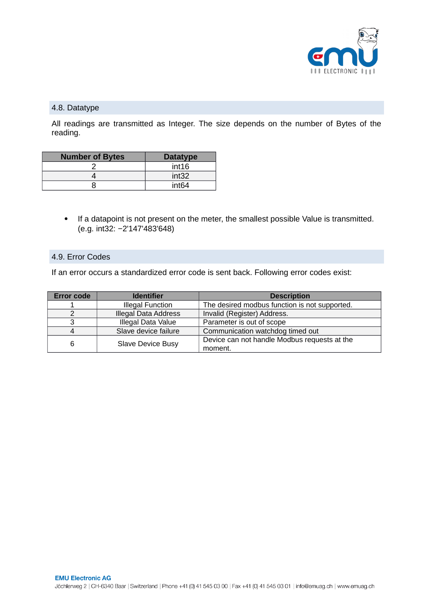

## 4.8. Datatype

All readings are transmitted as Integer. The size depends on the number of Bytes of the reading.

| <b>Number of Bytes</b> | <b>Datatype</b>   |
|------------------------|-------------------|
|                        | int16             |
|                        | int32             |
|                        | int <sub>64</sub> |

• If a datapoint is not present on the meter, the smallest possible Value is transmitted. (e.g. int32: −2'147'483'648)

#### 4.9. Error Codes

If an error occurs a standardized error code is sent back. Following error codes exist:

| <b>Error code</b> | <b>Identifier</b>           | <b>Description</b>                            |
|-------------------|-----------------------------|-----------------------------------------------|
|                   | <b>Illegal Function</b>     | The desired modbus function is not supported. |
|                   | <b>Illegal Data Address</b> | Invalid (Register) Address.                   |
|                   | Illegal Data Value          | Parameter is out of scope                     |
|                   | Slave device failure        | Communication watchdog timed out              |
| 6                 | <b>Slave Device Busy</b>    | Device can not handle Modbus requests at the  |
|                   |                             | moment.                                       |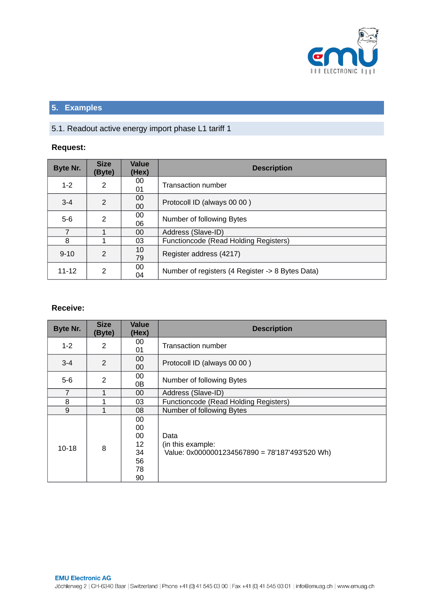

# **5. Examples**

# 5.1. Readout active energy import phase L1 tariff 1

# **Request:**

| Byte Nr.  | <b>Size</b><br>(Byte)   | <b>Value</b><br>(Hex) | <b>Description</b>                               |
|-----------|-------------------------|-----------------------|--------------------------------------------------|
| $1 - 2$   | 2                       | 00<br>01              | <b>Transaction number</b>                        |
| $3 - 4$   | $\mathcal{P}$           | 00<br>00              | Protocoll ID (always 00 00)                      |
| $5-6$     | $\overline{2}$          | 00<br>06              | Number of following Bytes                        |
| 7         |                         | 00                    | Address (Slave-ID)                               |
| 8         | 1                       | 03                    | Functioncode (Read Holding Registers)            |
| $9 - 10$  | $\overline{2}$          | 10<br>79              | Register address (4217)                          |
| $11 - 12$ | $\overline{\mathbf{c}}$ | 00<br>04              | Number of registers (4 Register -> 8 Bytes Data) |

## **Receive:**

| Byte Nr.  | <b>Size</b><br>(Byte) | <b>Value</b><br>(Hex)                        | <b>Description</b>                                                          |
|-----------|-----------------------|----------------------------------------------|-----------------------------------------------------------------------------|
| $1 - 2$   | $\overline{c}$        | 00<br>01                                     | <b>Transaction number</b>                                                   |
| $3 - 4$   | $\overline{2}$        | 00<br>00                                     | Protocoll ID (always 00 00)                                                 |
| $5-6$     | $\mathfrak{p}$        | 00<br>0B                                     | Number of following Bytes                                                   |
| 7         | 1                     | 00                                           | Address (Slave-ID)                                                          |
| 8         | 1                     | 03                                           | Functioncode (Read Holding Registers)                                       |
| 9         | 1                     | 08                                           | Number of following Bytes                                                   |
| $10 - 18$ | 8                     | 00<br>00<br>00<br>12<br>34<br>56<br>78<br>90 | Data<br>(in this example:<br>Value: 0x0000001234567890 = 78'187'493'520 Wh) |